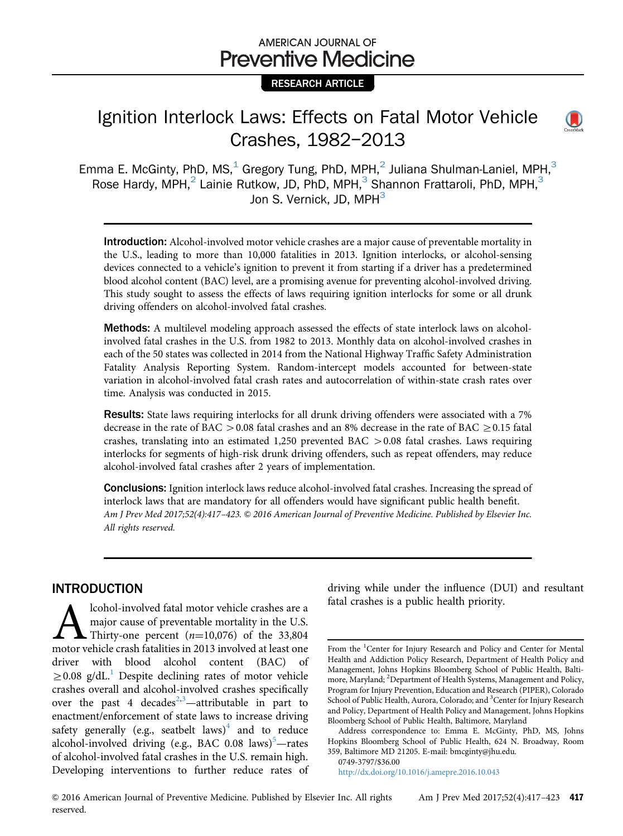# AMERICAN JOURNAL OF **Preventive Medicine**

## RESEARCH ARTICLE

# Ignition Interlock Laws: Effects on Fatal Motor Vehicle Crashes, 1982–2013



Introduction: Alcohol-involved motor vehicle crashes are a major cause of preventable mortality in the U.S., leading to more than 10,000 fatalities in 2013. Ignition interlocks, or alcohol-sensing devices connected to a vehicle's ignition to prevent it from starting if a driver has a predetermined blood alcohol content (BAC) level, are a promising avenue for preventing alcohol-involved driving. This study sought to assess the effects of laws requiring ignition interlocks for some or all drunk driving offenders on alcohol-involved fatal crashes.

**Methods:** A multilevel modeling approach assessed the effects of state interlock laws on alcoholinvolved fatal crashes in the U.S. from 1982 to 2013. Monthly data on alcohol-involved crashes in each of the 50 states was collected in 2014 from the National Highway Traffic Safety Administration Fatality Analysis Reporting System. Random-intercept models accounted for between-state variation in alcohol-involved fatal crash rates and autocorrelation of within-state crash rates over time. Analysis was conducted in 2015.

Results: State laws requiring interlocks for all drunk driving offenders were associated with a 7% decrease in the rate of BAC  $>$  0.08 fatal crashes and an 8% decrease in the rate of BAC  $\geq$  0.15 fatal crashes, translating into an estimated 1,250 prevented BAC  $> 0.08$  fatal crashes. Laws requiring interlocks for segments of high-risk drunk driving offenders, such as repeat offenders, may reduce alcohol-involved fatal crashes after 2 years of implementation.

Conclusions: Ignition interlock laws reduce alcohol-involved fatal crashes. Increasing the spread of interlock laws that are mandatory for all offenders would have significant public health benefit. Am J Prev Med 2017;52(4):417–423. & 2016 American Journal of Preventive Medicine. Published by Elsevier Inc. All rights reserved.

## INTRODUCTION

**Alcohol-involved fatal motor vehicle crashes are a** major cause of preventable mortality in the U.S. Thirty-one percent  $(n=10,076)$  of the 33,804 motor vehicle crash fatalities in 2013 involved at least one major cause of preventable mortality in the U.S. Thirty-one percent  $(n=10,076)$  of the 33,804 driver with blood alcohol content (BAC) of  $\geq$  0.08 g/dL.<sup>[1](#page-5-0)</sup> Despite declining rates of motor vehicle crashes overall and alcohol-involved crashes specifically over the past 4 decades<sup>[2,3](#page-5-0)</sup>—attributable in part to enactment/enforcement of state laws to increase driving safety generally (e.g., seatbelt laws)<sup>4</sup> and to reduce alcohol-involved driving (e.g., BAC 0.08 laws)<sup>[5](#page-6-0)</sup>-rates of alcohol-involved fatal crashes in the U.S. remain high. Developing interventions to further reduce rates of

driving while under the influence (DUI) and resultant fatal crashes is a public health priority.

0749-3797/\$36.00

<http://dx.doi.org/10.1016/j.amepre.2016.10.043>



From the <sup>1</sup>Center for Injury Research and Policy and Center for Mental Health and Addiction Policy Research, Department of Health Policy and Management, Johns Hopkins Bloomberg School of Public Health, Baltimore, Maryland; <sup>2</sup>Department of Health Systems, Management and Policy, Program for Injury Prevention, Education and Research (PIPER), Colorado School of Public Health, Aurora, Colorado; and <sup>3</sup> Center for Injury Research and Policy, Department of Health Policy and Management, Johns Hopkins Bloomberg School of Public Health, Baltimore, Maryland

Address correspondence to: Emma E. McGinty, PhD, MS, Johns Hopkins Bloomberg School of Public Health, 624 N. Broadway, Room 359, Baltimore MD 21205. E-mail: [bmcginty@jhu.edu.](mailto:bmcginty@jhu.edu)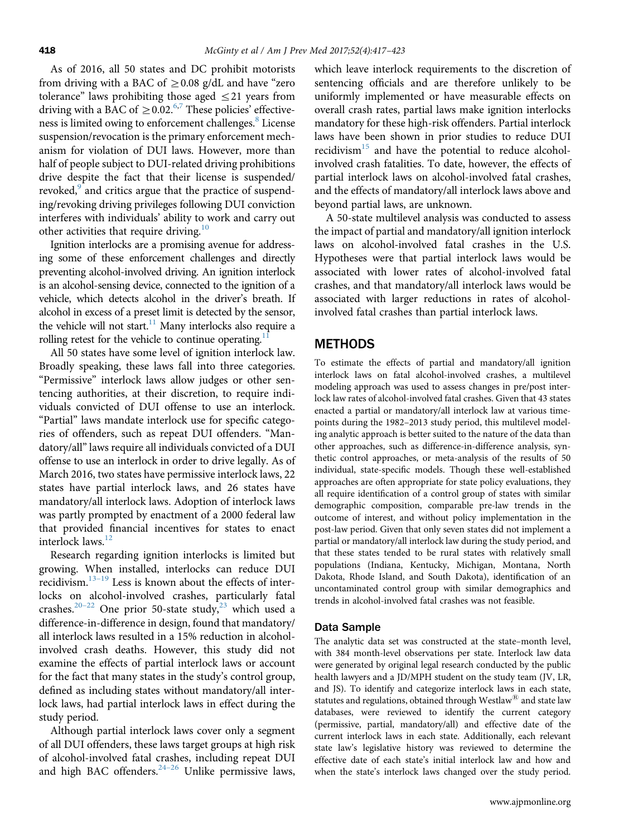As of 2016, all 50 states and DC prohibit motorists from driving with a BAC of  $\geq$  0.08 g/dL and have "zero tolerance" laws prohibiting those aged  $\leq$ 21 years from driving with a BAC of  $\geq$  0.02.<sup>[6,7](#page-6-0)</sup> These policies' effective-ness is limited owing to enforcement challenges.<sup>[8](#page-6-0)</sup> License suspension/revocation is the primary enforcement mechanism for violation of DUI laws. However, more than half of people subject to DUI-related driving prohibitions drive despite the fact that their license is suspended/ revoked,<sup>9</sup> and critics argue that the practice of suspending/revoking driving privileges following DUI conviction interferes with individuals' ability to work and carry out other activities that require driving.<sup>[10](#page-6-0)</sup>

Ignition interlocks are a promising avenue for addressing some of these enforcement challenges and directly preventing alcohol-involved driving. An ignition interlock is an alcohol-sensing device, connected to the ignition of a vehicle, which detects alcohol in the driver's breath. If alcohol in excess of a preset limit is detected by the sensor, the vehicle will not start.<sup>11</sup> Many interlocks also require a rolling retest for the vehicle to continue operating.<sup>1</sup>

All 50 states have some level of ignition interlock law. Broadly speaking, these laws fall into three categories. "Permissive" interlock laws allow judges or other sentencing authorities, at their discretion, to require individuals convicted of DUI offense to use an interlock. "Partial" laws mandate interlock use for specific categories of offenders, such as repeat DUI offenders. "Mandatory/all" laws require all individuals convicted of a DUI offense to use an interlock in order to drive legally. As of March 2016, two states have permissive interlock laws, 22 states have partial interlock laws, and 26 states have mandatory/all interlock laws. Adoption of interlock laws was partly prompted by enactment of a 2000 federal law that provided financial incentives for states to enact interlock laws.<sup>[12](#page-6-0)</sup>

Research regarding ignition interlocks is limited but growing. When installed, interlocks can reduce DUI recidivism. $13-19$  $13-19$  $13-19$  Less is known about the effects of interlocks on alcohol-involved crashes, particularly fatal crashes.<sup>[20](#page-6-0)–[22](#page-6-0)</sup> One prior 50-state study,<sup>[23](#page-6-0)</sup> which used a difference-in-difference in design, found that mandatory/ all interlock laws resulted in a 15% reduction in alcoholinvolved crash deaths. However, this study did not examine the effects of partial interlock laws or account for the fact that many states in the study's control group, defined as including states without mandatory/all interlock laws, had partial interlock laws in effect during the study period.

Although partial interlock laws cover only a segment of all DUI offenders, these laws target groups at high risk of alcohol-involved fatal crashes, including repeat DUI and high BAC offenders. $24-26$  $24-26$  Unlike permissive laws, which leave interlock requirements to the discretion of sentencing officials and are therefore unlikely to be uniformly implemented or have measurable effects on overall crash rates, partial laws make ignition interlocks mandatory for these high-risk offenders. Partial interlock laws have been shown in prior studies to reduce DUI recidivism $15$  and have the potential to reduce alcoholinvolved crash fatalities. To date, however, the effects of partial interlock laws on alcohol-involved fatal crashes, and the effects of mandatory/all interlock laws above and beyond partial laws, are unknown.

A 50-state multilevel analysis was conducted to assess the impact of partial and mandatory/all ignition interlock laws on alcohol-involved fatal crashes in the U.S. Hypotheses were that partial interlock laws would be associated with lower rates of alcohol-involved fatal crashes, and that mandatory/all interlock laws would be associated with larger reductions in rates of alcoholinvolved fatal crashes than partial interlock laws.

### METHODS

To estimate the effects of partial and mandatory/all ignition interlock laws on fatal alcohol-involved crashes, a multilevel modeling approach was used to assess changes in pre/post interlock law rates of alcohol-involved fatal crashes. Given that 43 states enacted a partial or mandatory/all interlock law at various timepoints during the 1982–2013 study period, this multilevel modeling analytic approach is better suited to the nature of the data than other approaches, such as difference-in-difference analysis, synthetic control approaches, or meta-analysis of the results of 50 individual, state-specific models. Though these well-established approaches are often appropriate for state policy evaluations, they all require identification of a control group of states with similar demographic composition, comparable pre-law trends in the outcome of interest, and without policy implementation in the post-law period. Given that only seven states did not implement a partial or mandatory/all interlock law during the study period, and that these states tended to be rural states with relatively small populations (Indiana, Kentucky, Michigan, Montana, North Dakota, Rhode Island, and South Dakota), identification of an uncontaminated control group with similar demographics and trends in alcohol-involved fatal crashes was not feasible.

#### Data Sample

The analytic data set was constructed at the state–month level, with 384 month-level observations per state. Interlock law data were generated by original legal research conducted by the public health lawyers and a JD/MPH student on the study team (JV, LR, and JS). To identify and categorize interlock laws in each state, statutes and regulations, obtained through Westlaw $^{\circledR}$  and state law databases, were reviewed to identify the current category (permissive, partial, mandatory/all) and effective date of the current interlock laws in each state. Additionally, each relevant state law's legislative history was reviewed to determine the effective date of each state's initial interlock law and how and when the state's interlock laws changed over the study period.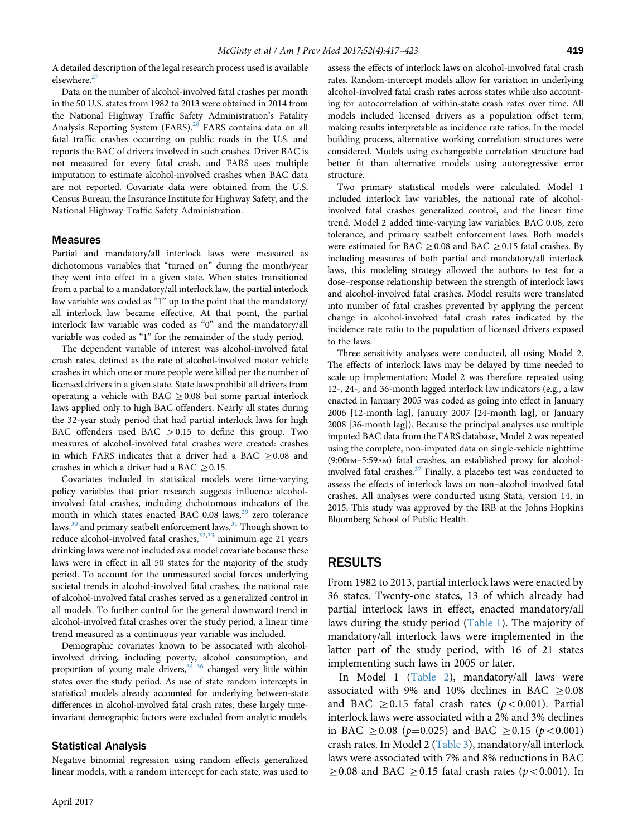A detailed description of the legal research process used is available elsewhere.<sup>[27](#page-6-0)</sup>

Data on the number of alcohol-involved fatal crashes per month in the 50 U.S. states from 1982 to 2013 were obtained in 2014 from the National Highway Traffic Safety Administration's Fatality Analysis Reporting System (FARS).<sup>[28](#page-6-0)</sup> FARS contains data on all fatal traffic crashes occurring on public roads in the U.S. and reports the BAC of drivers involved in such crashes. Driver BAC is not measured for every fatal crash, and FARS uses multiple imputation to estimate alcohol-involved crashes when BAC data are not reported. Covariate data were obtained from the U.S. Census Bureau, the Insurance Institute for Highway Safety, and the National Highway Traffic Safety Administration.

#### **Measures**

Partial and mandatory/all interlock laws were measured as dichotomous variables that "turned on" during the month/year they went into effect in a given state. When states transitioned from a partial to a mandatory/all interlock law, the partial interlock law variable was coded as "1" up to the point that the mandatory/ all interlock law became effective. At that point, the partial interlock law variable was coded as "0" and the mandatory/all variable was coded as "1" for the remainder of the study period.

The dependent variable of interest was alcohol-involved fatal crash rates, defined as the rate of alcohol-involved motor vehicle crashes in which one or more people were killed per the number of licensed drivers in a given state. State laws prohibit all drivers from operating a vehicle with BAC  $\geq$  0.08 but some partial interlock laws applied only to high BAC offenders. Nearly all states during the 32-year study period that had partial interlock laws for high BAC offenders used BAC  $>0.15$  to define this group. Two measures of alcohol-involved fatal crashes were created: crashes in which FARS indicates that a driver had a BAC  $\geq$  0.08 and crashes in which a driver had a BAC  $\geq$  0.15.

Covariates included in statistical models were time-varying policy variables that prior research suggests influence alcoholinvolved fatal crashes, including dichotomous indicators of the month in which states enacted BAC 0.08 laws, $^{29}$  zero tolerance laws, $30$  and primary seatbelt enforcement laws. $31$  Though shown to reduce alcohol-involved fatal crashes,<sup>[32](#page-6-0),[33](#page-6-0)</sup> minimum age 21 years drinking laws were not included as a model covariate because these laws were in effect in all 50 states for the majority of the study period. To account for the unmeasured social forces underlying societal trends in alcohol-involved fatal crashes, the national rate of alcohol-involved fatal crashes served as a generalized control in all models. To further control for the general downward trend in alcohol-involved fatal crashes over the study period, a linear time trend measured as a continuous year variable was included.

Demographic covariates known to be associated with alcoholinvolved driving, including poverty, alcohol consumption, and proportion of young male drivers,  $34-36$  $34-36$  changed very little within states over the study period. As use of state random intercepts in statistical models already accounted for underlying between-state differences in alcohol-involved fatal crash rates, these largely timeinvariant demographic factors were excluded from analytic models.

#### Statistical Analysis

Negative binomial regression using random effects generalized linear models, with a random intercept for each state, was used to assess the effects of interlock laws on alcohol-involved fatal crash rates. Random-intercept models allow for variation in underlying alcohol-involved fatal crash rates across states while also accounting for autocorrelation of within-state crash rates over time. All models included licensed drivers as a population offset term, making results interpretable as incidence rate ratios. In the model building process, alternative working correlation structures were considered. Models using exchangeable correlation structure had better fit than alternative models using autoregressive error structure.

Two primary statistical models were calculated. Model 1 included interlock law variables, the national rate of alcoholinvolved fatal crashes generalized control, and the linear time trend. Model 2 added time-varying law variables: BAC 0.08, zero tolerance, and primary seatbelt enforcement laws. Both models were estimated for BAC  $\geq$  0.08 and BAC  $\geq$  0.15 fatal crashes. By including measures of both partial and mandatory/all interlock laws, this modeling strategy allowed the authors to test for a dose–response relationship between the strength of interlock laws and alcohol-involved fatal crashes. Model results were translated into number of fatal crashes prevented by applying the percent change in alcohol-involved fatal crash rates indicated by the incidence rate ratio to the population of licensed drivers exposed to the laws.

Three sensitivity analyses were conducted, all using Model 2. The effects of interlock laws may be delayed by time needed to scale up implementation; Model 2 was therefore repeated using 12-, 24-, and 36-month lagged interlock law indicators (e.g., a law enacted in January 2005 was coded as going into effect in January 2006 [12-month lag], January 2007 [24-month lag], or January 2008 [36-month lag]). Because the principal analyses use multiple imputed BAC data from the FARS database, Model 2 was repeated using the complete, non-imputed data on single-vehicle nighttime (9:00PM–5:59AM) fatal crashes, an established proxy for alcoholinvolved fatal crashes. $37$  Finally, a placebo test was conducted to assess the effects of interlock laws on non–alcohol involved fatal crashes. All analyses were conducted using Stata, version 14, in 2015. This study was approved by the IRB at the Johns Hopkins Bloomberg School of Public Health.

## RESULTS

From 1982 to 2013, partial interlock laws were enacted by 36 states. Twenty-one states, 13 of which already had partial interlock laws in effect, enacted mandatory/all laws during the study period [\(Table 1\)](#page-3-0). The majority of mandatory/all interlock laws were implemented in the latter part of the study period, with 16 of 21 states implementing such laws in 2005 or later.

In Model 1 ([Table 2\)](#page-4-0), mandatory/all laws were associated with 9% and 10% declines in BAC  $\geq$  0.08 and BAC  $\geq$  0.15 fatal crash rates (p<0.001). Partial interlock laws were associated with a 2% and 3% declines in BAC  $\geq$  0.08 (p=0.025) and BAC  $\geq$  0.15 (p < 0.001) crash rates. In Model 2 [\(Table 3\)](#page-4-0), mandatory/all interlock laws were associated with 7% and 8% reductions in BAC  $\geq$  0.08 and BAC  $\geq$  0.15 fatal crash rates (p<0.001). In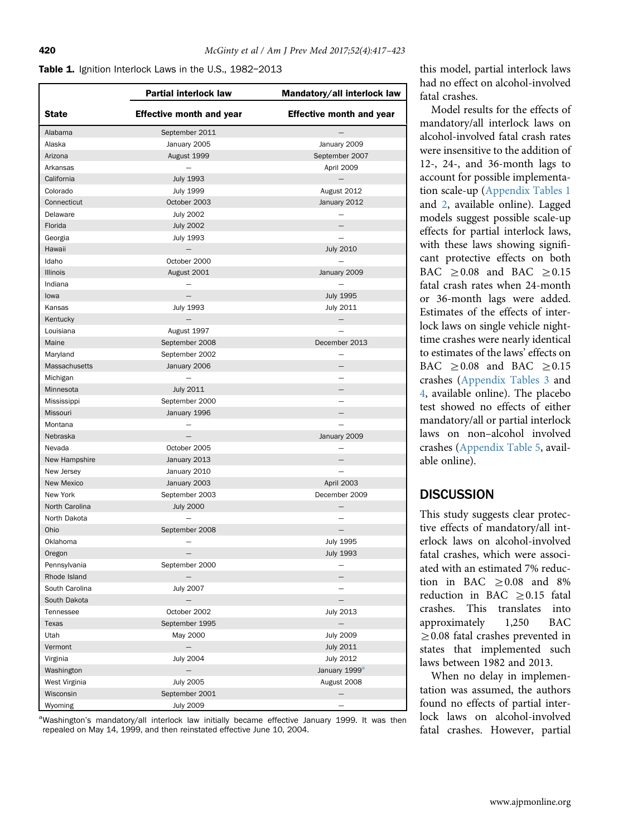#### <span id="page-3-0"></span>Table 1. Ignition Interlock Laws in the U.S., 1982-2013

|                 | <b>Partial interlock law</b>    | Mandatory/all interlock law     |
|-----------------|---------------------------------|---------------------------------|
| <b>State</b>    | <b>Effective month and year</b> | <b>Effective month and year</b> |
| Alabama         | September 2011                  |                                 |
| Alaska          | January 2005                    | January 2009                    |
| Arizona         | August 1999                     | September 2007                  |
| Arkansas        |                                 | April 2009                      |
| California      | <b>July 1993</b>                | $\qquad \qquad -$               |
| Colorado        | <b>July 1999</b>                | August 2012                     |
| Connecticut     | October 2003                    | January 2012                    |
| Delaware        | <b>July 2002</b>                |                                 |
| Florida         | <b>July 2002</b>                | $\overline{\phantom{0}}$        |
| Georgia         | <b>July 1993</b>                |                                 |
| Hawaii          |                                 | <b>July 2010</b>                |
| Idaho           | October 2000                    |                                 |
| <b>Illinois</b> | August 2001                     | January 2009                    |
| Indiana         |                                 |                                 |
| lowa            | $\overline{\phantom{0}}$        | <b>July 1995</b>                |
|                 |                                 |                                 |
| Kansas          | <b>July 1993</b>                | July 2011                       |
| Kentucky        |                                 | —                               |
| Louisiana       | August 1997                     |                                 |
| Maine           | September 2008                  | December 2013                   |
| Maryland        | September 2002                  |                                 |
| Massachusetts   | January 2006                    | $\overline{\phantom{0}}$        |
| Michigan        |                                 |                                 |
| Minnesota       | <b>July 2011</b>                |                                 |
| Mississippi     | September 2000                  |                                 |
| Missouri        | January 1996                    |                                 |
| Montana         |                                 |                                 |
| Nebraska        |                                 | January 2009                    |
| Nevada          | October 2005                    |                                 |
| New Hampshire   | January 2013                    |                                 |
| New Jersey      | January 2010                    |                                 |
| New Mexico      | January 2003                    | April 2003                      |
| New York        | September 2003                  | December 2009                   |
| North Carolina  | <b>July 2000</b>                |                                 |
| North Dakota    |                                 |                                 |
| Ohio            | September 2008                  |                                 |
| Oklahoma        |                                 | <b>July 1995</b>                |
| Oregon          |                                 | <b>July 1993</b>                |
| Pennsylvania    | September 2000                  |                                 |
| Rhode Island    |                                 |                                 |
| South Carolina  | <b>July 2007</b>                |                                 |
| South Dakota    |                                 | $\overline{\phantom{0}}$        |
| Tennessee       | October 2002                    | July 2013                       |
| Texas           | September 1995                  |                                 |
|                 |                                 |                                 |
| Utah            | May 2000                        | <b>July 2009</b>                |
| Vermont         | $\qquad \qquad -$               | <b>July 2011</b>                |
| Virginia        | <b>July 2004</b>                | July 2012                       |
| Washington      |                                 | January 1999 <sup>a</sup>       |
| West Virginia   | <b>July 2005</b>                | August 2008                     |
| Wisconsin       | September 2001                  |                                 |
| Wyoming         | <b>July 2009</b>                |                                 |

<sup>a</sup>Washington's mandatory/all interlock law initially became effective January 1999. It was then repealed on May 14, 1999, and then reinstated effective June 10, 2004.

this model, partial interlock laws had no effect on alcohol-involved fatal crashes.

Model results for the effects of mandatory/all interlock laws on alcohol-involved fatal crash rates were insensitive to the addition of 12-, 24-, and 36-month lags to account for possible implementation scale-up ([Appendix Tables 1](#page-5-0) and [2,](#page-5-0) available online). Lagged models suggest possible scale-up effects for partial interlock laws, with these laws showing significant protective effects on both BAC  $\geq 0.08$  and BAC  $\geq 0.15$ fatal crash rates when 24-month or 36-month lags were added. Estimates of the effects of interlock laws on single vehicle nighttime crashes were nearly identical to estimates of the laws' effects on BAC  $\geq 0.08$  and BAC  $\geq 0.15$ crashes [\(Appendix Tables 3](#page-5-0) and [4](#page-5-0), available online). The placebo test showed no effects of either mandatory/all or partial interlock laws on non–alcohol involved crashes [\(Appendix Table 5,](#page-5-0) available online).

# **DISCUSSION**

This study suggests clear protective effects of mandatory/all interlock laws on alcohol-involved fatal crashes, which were associated with an estimated 7% reduction in BAC  $\geq 0.08$  and 8% reduction in BAC  $\geq$  0.15 fatal crashes. This translates into approximately 1,250 BAC  $\geq$  0.08 fatal crashes prevented in states that implemented such laws between 1982 and 2013.

When no delay in implementation was assumed, the authors found no effects of partial interlock laws on alcohol-involved fatal crashes. However, partial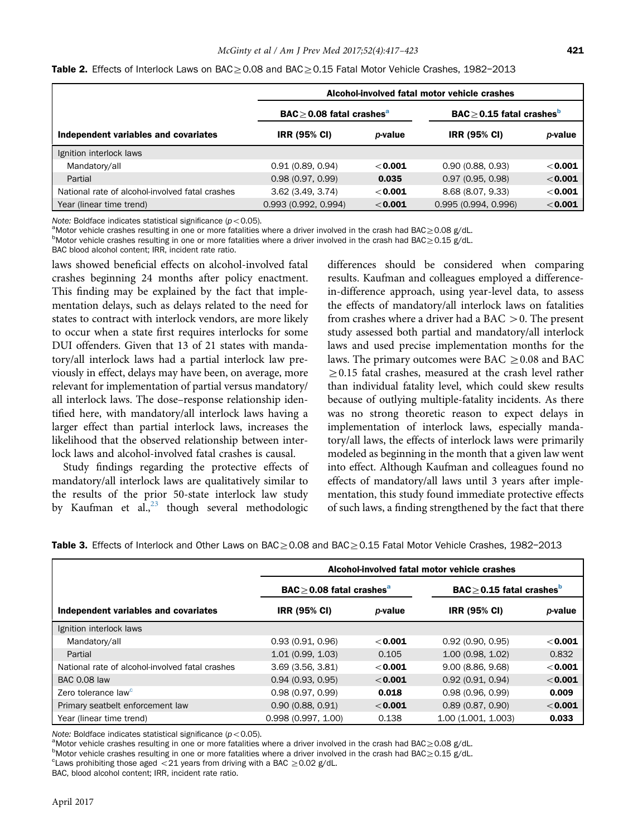|                                                 | Alcohol-involved fatal motor vehicle crashes        |                 |                                                    |           |
|-------------------------------------------------|-----------------------------------------------------|-----------------|----------------------------------------------------|-----------|
|                                                 | $\mathsf{BAC} \geq 0.08$ fatal crashes <sup>a</sup> |                 | $\mathsf{BAC}\geq 0.15$ fatal crashes <sup>b</sup> |           |
| Independent variables and covariates            | <b>IRR (95% CI)</b>                                 | <i>p</i> -value | <b>IRR (95% CI)</b>                                | p-value   |
| Ignition interlock laws                         |                                                     |                 |                                                    |           |
| Mandatory/all                                   | 0.91(0.89, 0.94)                                    | $<$ 0.001       | 0.90(0.88, 0.93)                                   | $<$ 0.001 |
| Partial                                         | 0.98(0.97, 0.99)                                    | 0.035           | 0.97(0.95, 0.98)                                   | $<$ 0.001 |
| National rate of alcohol-involved fatal crashes | 3.62(3.49, 3.74)                                    | $<$ 0.001       | 8.68 (8.07, 9.33)                                  | $<$ 0.001 |
| Year (linear time trend)                        | 0.993(0.992, 0.994)                                 | $<$ 0.001       | 0.995(0.994, 0.996)                                | $<$ 0.001 |

<span id="page-4-0"></span>Table 2. Effects of Interlock Laws on BAC $\geq$ 0.08 and BAC $\geq$ 0.15 Fatal Motor Vehicle Crashes, 1982-2013

Note: Boldface indicates statistical significance ( $p < 0.05$ ).

 $^{\rm a}$ Motor vehicle crashes resulting in one or more fatalities where a driver involved in the crash had BAC $\geq$ 0.08 g/dL.

 $b$ Motor vehicle crashes resulting in one or more fatalities where a driver involved in the crash had BAC $\geq$ 0.15 g/dL.

BAC blood alcohol content; IRR, incident rate ratio.

laws showed beneficial effects on alcohol-involved fatal crashes beginning 24 months after policy enactment. This finding may be explained by the fact that implementation delays, such as delays related to the need for states to contract with interlock vendors, are more likely to occur when a state first requires interlocks for some DUI offenders. Given that 13 of 21 states with mandatory/all interlock laws had a partial interlock law previously in effect, delays may have been, on average, more relevant for implementation of partial versus mandatory/ all interlock laws. The dose–response relationship identified here, with mandatory/all interlock laws having a larger effect than partial interlock laws, increases the likelihood that the observed relationship between interlock laws and alcohol-involved fatal crashes is causal.

Study findings regarding the protective effects of mandatory/all interlock laws are qualitatively similar to the results of the prior 50-state interlock law study by Kaufman et al., $^{23}$  $^{23}$  $^{23}$  though several methodologic differences should be considered when comparing results. Kaufman and colleagues employed a differencein-difference approach, using year-level data, to assess the effects of mandatory/all interlock laws on fatalities from crashes where a driver had a BAC  $>$ 0. The present study assessed both partial and mandatory/all interlock laws and used precise implementation months for the laws. The primary outcomes were BAC  $\geq$  0.08 and BAC  $\geq$  0.15 fatal crashes, measured at the crash level rather than individual fatality level, which could skew results because of outlying multiple-fatality incidents. As there was no strong theoretic reason to expect delays in implementation of interlock laws, especially mandatory/all laws, the effects of interlock laws were primarily modeled as beginning in the month that a given law went into effect. Although Kaufman and colleagues found no effects of mandatory/all laws until 3 years after implementation, this study found immediate protective effects of such laws, a finding strengthened by the fact that there

Table 3. Effects of Interlock and Other Laws on BAC $\geq$ 0.08 and BAC $\geq$ 0.15 Fatal Motor Vehicle Crashes, 1982-2013

|                                                 | Alcohol-involved fatal motor vehicle crashes |                 |                                                     |           |  |
|-------------------------------------------------|----------------------------------------------|-----------------|-----------------------------------------------------|-----------|--|
|                                                 | $BAC > 0.08$ fatal crashes <sup>a</sup>      |                 | $\mathsf{BAC} \geq 0.15$ fatal crashes <sup>b</sup> |           |  |
| Independent variables and covariates            | <b>IRR (95% CI)</b>                          | <i>p</i> -value | <b>IRR (95% CI)</b>                                 | p-value   |  |
| Ignition interlock laws                         |                                              |                 |                                                     |           |  |
| Mandatory/all                                   | 0.93(0.91, 0.96)                             | $<$ 0.001       | 0.92(0.90, 0.95)                                    | $<$ 0.001 |  |
| Partial                                         | 1.01(0.99, 1.03)                             | 0.105           | 1.00 (0.98, 1.02)                                   | 0.832     |  |
| National rate of alcohol-involved fatal crashes | $3.69$ $(3.56, 3.81)$                        | $<$ 0.001       | 9.00(8.86, 9.68)                                    | $<$ 0.001 |  |
| <b>BAC 0.08 law</b>                             | 0.94(0.93, 0.95)                             | $<$ 0.001       | 0.92(0.91, 0.94)                                    | $<$ 0.001 |  |
| Zero tolerance law <sup>c</sup>                 | 0.98(0.97, 0.99)                             | 0.018           | 0.98(0.96, 0.99)                                    | 0.009     |  |
| Primary seatbelt enforcement law                | 0.90(0.88, 0.91)                             | $<$ 0.001       | 0.89(0.87, 0.90)                                    | $<$ 0.001 |  |
| Year (linear time trend)                        | 0.998(0.997, 1.00)                           | 0.138           | 1.00 (1.001, 1.003)                                 | 0.033     |  |

Note: Boldface indicates statistical significance ( $p < 0.05$ ).

<sup>a</sup>Motor vehicle crashes resulting in one or more fatalities where a driver involved in the crash had BAC $\geq$ 0.08 g/dL.

 $b$ Motor vehicle crashes resulting in one or more fatalities where a driver involved in the crash had BAC $\geq$ 0.15 g/dL.

BAC, blood alcohol content; IRR, incident rate ratio.

<sup>&</sup>lt;sup>c</sup> Laws prohibiting those aged  $\langle 21 \rangle$  years from driving with a BAC  $\geq$  0.02 g/dL.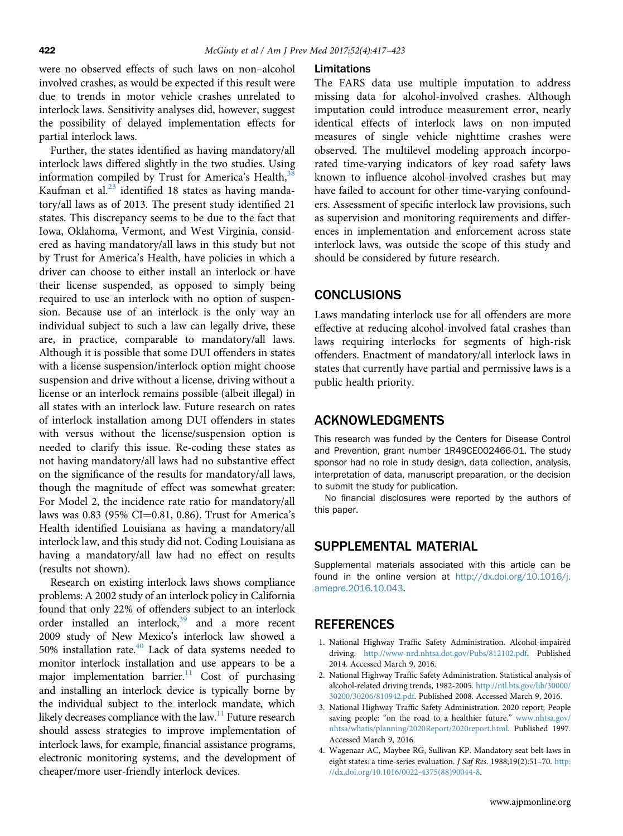<span id="page-5-0"></span>were no observed effects of such laws on non–alcohol involved crashes, as would be expected if this result were due to trends in motor vehicle crashes unrelated to interlock laws. Sensitivity analyses did, however, suggest the possibility of delayed implementation effects for partial interlock laws.

Further, the states identified as having mandatory/all interlock laws differed slightly in the two studies. Using information compiled by Trust for America's Health, $3$ Kaufman et al. $^{23}$  $^{23}$  $^{23}$  identified 18 states as having mandatory/all laws as of 2013. The present study identified 21 states. This discrepancy seems to be due to the fact that Iowa, Oklahoma, Vermont, and West Virginia, considered as having mandatory/all laws in this study but not by Trust for America's Health, have policies in which a driver can choose to either install an interlock or have their license suspended, as opposed to simply being required to use an interlock with no option of suspension. Because use of an interlock is the only way an individual subject to such a law can legally drive, these are, in practice, comparable to mandatory/all laws. Although it is possible that some DUI offenders in states with a license suspension/interlock option might choose suspension and drive without a license, driving without a license or an interlock remains possible (albeit illegal) in all states with an interlock law. Future research on rates of interlock installation among DUI offenders in states with versus without the license/suspension option is needed to clarify this issue. Re-coding these states as not having mandatory/all laws had no substantive effect on the significance of the results for mandatory/all laws, though the magnitude of effect was somewhat greater: For Model 2, the incidence rate ratio for mandatory/all laws was  $0.83$  (95% CI=0.81, 0.86). Trust for America's Health identified Louisiana as having a mandatory/all interlock law, and this study did not. Coding Louisiana as having a mandatory/all law had no effect on results (results not shown).

Research on existing interlock laws shows compliance problems: A 2002 study of an interlock policy in California found that only 22% of offenders subject to an interlock order installed an interlock, $39$  and a more recent 2009 study of New Mexico's interlock law showed a 50% installation rate[.40](#page-6-0) Lack of data systems needed to monitor interlock installation and use appears to be a major implementation barrier.<sup>[11](#page-6-0)</sup> Cost of purchasing and installing an interlock device is typically borne by the individual subject to the interlock mandate, which likely decreases compliance with the law.<sup>11</sup> Future research should assess strategies to improve implementation of interlock laws, for example, financial assistance programs, electronic monitoring systems, and the development of cheaper/more user-friendly interlock devices.

#### Limitations

The FARS data use multiple imputation to address missing data for alcohol-involved crashes. Although imputation could introduce measurement error, nearly identical effects of interlock laws on non-imputed measures of single vehicle nighttime crashes were observed. The multilevel modeling approach incorporated time-varying indicators of key road safety laws known to influence alcohol-involved crashes but may have failed to account for other time-varying confounders. Assessment of specific interlock law provisions, such as supervision and monitoring requirements and differences in implementation and enforcement across state interlock laws, was outside the scope of this study and should be considered by future research.

### **CONCLUSIONS**

Laws mandating interlock use for all offenders are more effective at reducing alcohol-involved fatal crashes than laws requiring interlocks for segments of high-risk offenders. Enactment of mandatory/all interlock laws in states that currently have partial and permissive laws is a public health priority.

## ACKNOWLEDGMENTS

This research was funded by the Centers for Disease Control and Prevention, grant number 1R49CE002466-01. The study sponsor had no role in study design, data collection, analysis, interpretation of data, manuscript preparation, or the decision to submit the study for publication.

No financial disclosures were reported by the authors of this paper.

## SUPPLEMENTAL MATERIAL

Supplemental materials associated with this article can be found in the online version at [http://dx.doi.org/10.1016/j.](http://dx.doi.org/10.1016/j.amepre.2016.10.043) [amepre.2016.10.043.](http://dx.doi.org/10.1016/j.amepre.2016.10.043)

## **REFERENCES**

- 1. National Highway Traffic Safety Administration. Alcohol-impaired driving. [http://www-nrd.nhtsa.dot.gov/Pubs/812102.pdf.](http://www-nrd.nhtsa.dot.gov/Pubs/812102.pdf) Published 2014. Accessed March 9, 2016.
- 2. National Highway Traffic Safety Administration. Statistical analysis of alcohol-related driving trends, 1982-2005. [http://ntl.bts.gov/lib/30000/](http://ntl.bts.gov/lib/30000/30200/30206/810942.pdf) [30200/30206/810942.pdf](http://ntl.bts.gov/lib/30000/30200/30206/810942.pdf). Published 2008. Accessed March 9, 2016.
- 3. National Highway Traffic Safety Administration. 2020 report; People saving people: "on the road to a healthier future." [www.nhtsa.gov/](http://www.nhtsa.gov/nhtsa/whatis/planning/2020Report/2020report.html) [nhtsa/whatis/planning/2020Report/2020report.html.](http://www.nhtsa.gov/nhtsa/whatis/planning/2020Report/2020report.html) Published 1997. Accessed March 9, 2016.
- 4. Wagenaar AC, Maybee RG, Sullivan KP. Mandatory seat belt laws in eight states: a time-series evaluation. J Saf Res. 1988;19(2):51–70. [http:](http://dx.doi.org/10.1016/0022-4375(88)90044-8) [//dx.doi.org/10.1016/0022-4375\(88\)90044-8.](http://dx.doi.org/10.1016/0022-4375(88)90044-8)